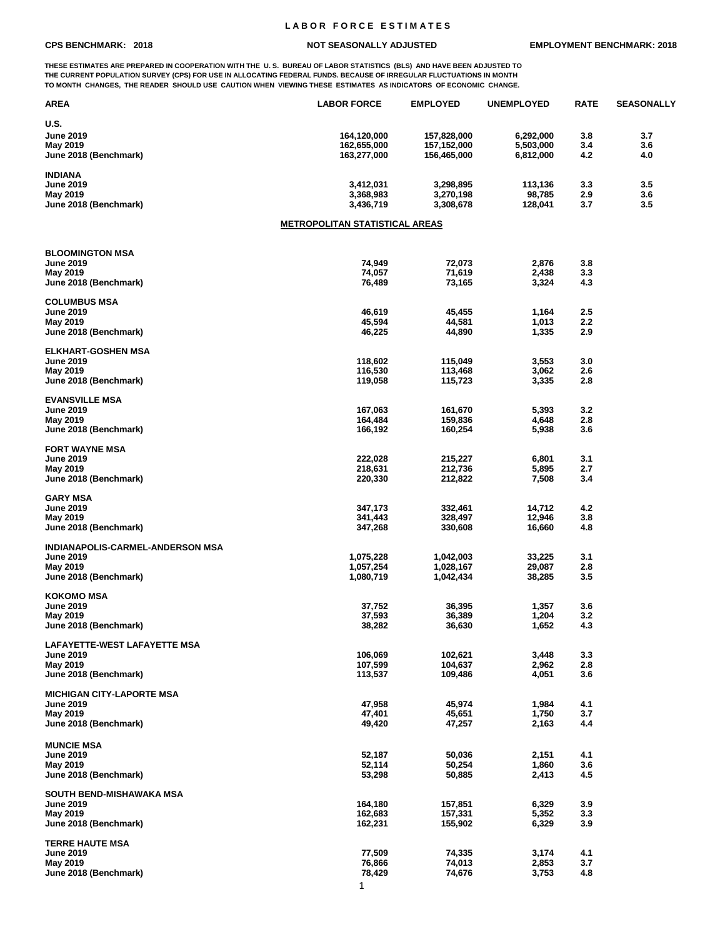## **L A B O R F O R C E E S T I M A T E S**

**THESE ESTIMATES ARE PREPARED IN COOPERATION WITH THE U. S. BUREAU OF LABOR STATISTICS (BLS) AND HAVE BEEN ADJUSTED TO THE CURRENT POPULATION SURVEY (CPS) FOR USE IN ALLOCATING FEDERAL FUNDS. BECAUSE OF IRREGULAR FLUCTUATIONS IN MONTH TO MONTH CHANGES, THE READER SHOULD USE CAUTION WHEN VIEWING THESE ESTIMATES AS INDICATORS OF ECONOMIC CHANGE.**

| AREA                                       | <b>LABOR FORCE</b>                    | <b>EMPLOYED</b>    | <b>UNEMPLOYED</b> | <b>RATE</b> | <b>SEASONALLY</b> |
|--------------------------------------------|---------------------------------------|--------------------|-------------------|-------------|-------------------|
| U.S.                                       |                                       |                    |                   |             |                   |
| <b>June 2019</b>                           | 164,120,000                           | 157,828,000        | 6,292,000         | 3.8         | 3.7               |
| May 2019                                   | 162,655,000                           | 157,152,000        | 5,503,000         | 3.4         | 3.6               |
| June 2018 (Benchmark)                      | 163,277,000                           | 156,465,000        | 6,812,000         | 4.2         | 4.0               |
|                                            |                                       |                    |                   |             |                   |
| <b>INDIANA</b>                             |                                       |                    |                   |             |                   |
| <b>June 2019</b>                           | 3,412,031                             | 3,298,895          | 113,136           | 3.3         | 3.5               |
| May 2019                                   | 3,368,983<br>3,436,719                | 3,270,198          | 98,785            | 2.9<br>3.7  | 3.6<br>3.5        |
| June 2018 (Benchmark)                      |                                       | 3,308,678          | 128,041           |             |                   |
|                                            | <b>METROPOLITAN STATISTICAL AREAS</b> |                    |                   |             |                   |
|                                            |                                       |                    |                   |             |                   |
| <b>BLOOMINGTON MSA</b><br><b>June 2019</b> |                                       |                    |                   |             |                   |
| May 2019                                   | 74,949<br>74,057                      | 72,073<br>71,619   | 2,876<br>2,438    | 3.8<br>3.3  |                   |
| June 2018 (Benchmark)                      | 76,489                                | 73,165             | 3,324             | 4.3         |                   |
|                                            |                                       |                    |                   |             |                   |
| <b>COLUMBUS MSA</b>                        |                                       |                    |                   |             |                   |
| <b>June 2019</b>                           | 46,619                                | 45,455             | 1,164             | $2.5\,$     |                   |
| May 2019                                   | 45,594                                | 44,581             | 1,013             | 2.2         |                   |
| June 2018 (Benchmark)                      | 46,225                                | 44,890             | 1,335             | 2.9         |                   |
| <b>ELKHART-GOSHEN MSA</b>                  |                                       |                    |                   |             |                   |
| <b>June 2019</b>                           | 118,602                               | 115,049            | 3,553             | 3.0         |                   |
| May 2019                                   | 116,530                               | 113,468            | 3,062             | 2.6         |                   |
| June 2018 (Benchmark)                      | 119,058                               | 115,723            | 3,335             | 2.8         |                   |
|                                            |                                       |                    |                   |             |                   |
| <b>EVANSVILLE MSA</b>                      |                                       |                    |                   |             |                   |
| <b>June 2019</b>                           | 167,063                               | 161,670            | 5,393             | 3.2         |                   |
| May 2019                                   | 164,484                               | 159,836            | 4,648             | 2.8         |                   |
| June 2018 (Benchmark)                      | 166,192                               | 160,254            | 5,938             | 3.6         |                   |
| <b>FORT WAYNE MSA</b>                      |                                       |                    |                   |             |                   |
| <b>June 2019</b>                           | 222,028                               | 215,227            | 6,801             | 3.1         |                   |
| May 2019                                   | 218,631                               | 212,736            | 5,895             | 2.7         |                   |
| June 2018 (Benchmark)                      | 220,330                               | 212,822            | 7,508             | 3.4         |                   |
|                                            |                                       |                    |                   |             |                   |
| <b>GARY MSA</b>                            |                                       |                    |                   |             |                   |
| <b>June 2019</b><br>May 2019               | 347,173<br>341,443                    | 332,461<br>328,497 | 14,712<br>12,946  | 4.2<br>3.8  |                   |
| June 2018 (Benchmark)                      | 347,268                               | 330,608            | 16,660            | 4.8         |                   |
|                                            |                                       |                    |                   |             |                   |
| INDIANAPOLIS-CARMEL-ANDERSON MSA           |                                       |                    |                   |             |                   |
| <b>June 2019</b>                           | 1,075,228                             | 1,042,003          | 33,225            | 3.1         |                   |
| May 2019                                   | 1,057,254                             | 1,028,167          | 29,087            | 2.8         |                   |
| June 2018 (Benchmark)                      | 1,080,719                             | 1,042,434          | 38,285            | 3.5         |                   |
| <b>KOKOMO MSA</b>                          |                                       |                    |                   |             |                   |
| <b>June 2019</b>                           | 37,752                                | 36,395             | 1,357             | 3.6         |                   |
| May 2019                                   | 37,593                                | 36,389             | 1,204             | 3.2         |                   |
| June 2018 (Benchmark)                      | 38,282                                | 36,630             | 1,652             | 4.3         |                   |
|                                            |                                       |                    |                   |             |                   |
| <b>LAFAYETTE-WEST LAFAYETTE MSA</b>        |                                       |                    |                   |             |                   |
| <b>June 2019</b>                           | 106,069                               | 102,621            | 3,448             | 3.3         |                   |
| May 2019<br>June 2018 (Benchmark)          | 107,599<br>113,537                    | 104,637<br>109,486 | 2,962<br>4,051    | 2.8<br>3.6  |                   |
|                                            |                                       |                    |                   |             |                   |
| <b>MICHIGAN CITY-LAPORTE MSA</b>           |                                       |                    |                   |             |                   |
| <b>June 2019</b>                           | 47,958                                | 45,974             | 1,984             | 4.1         |                   |
| May 2019                                   | 47,401                                | 45,651             | 1,750             | 3.7         |                   |
| June 2018 (Benchmark)                      | 49,420                                | 47,257             | 2,163             | 4.4         |                   |
|                                            |                                       |                    |                   |             |                   |
| <b>MUNCIE MSA</b>                          |                                       |                    |                   |             |                   |
| <b>June 2019</b><br>May 2019               | 52,187<br>52,114                      | 50,036<br>50,254   | 2,151<br>1,860    | 4.1<br>3.6  |                   |
| June 2018 (Benchmark)                      | 53,298                                | 50,885             | 2,413             | 4.5         |                   |
|                                            |                                       |                    |                   |             |                   |
| SOUTH BEND-MISHAWAKA MSA                   |                                       |                    |                   |             |                   |
| <b>June 2019</b>                           | 164,180                               | 157,851            | 6,329             | 3.9         |                   |
| May 2019                                   | 162,683                               | 157,331            | 5,352             | 3.3         |                   |
| June 2018 (Benchmark)                      | 162,231                               | 155,902            | 6,329             | 3.9         |                   |
| <b>TERRE HAUTE MSA</b>                     |                                       |                    |                   |             |                   |
| <b>June 2019</b>                           | 77,509                                | 74,335             | 3,174             | 4.1         |                   |
| May 2019                                   | 76,866                                | 74,013             | 2,853             | 3.7         |                   |
| June 2018 (Benchmark)                      | 78,429                                | 74,676             | 3,753             | 4.8         |                   |
|                                            | 1                                     |                    |                   |             |                   |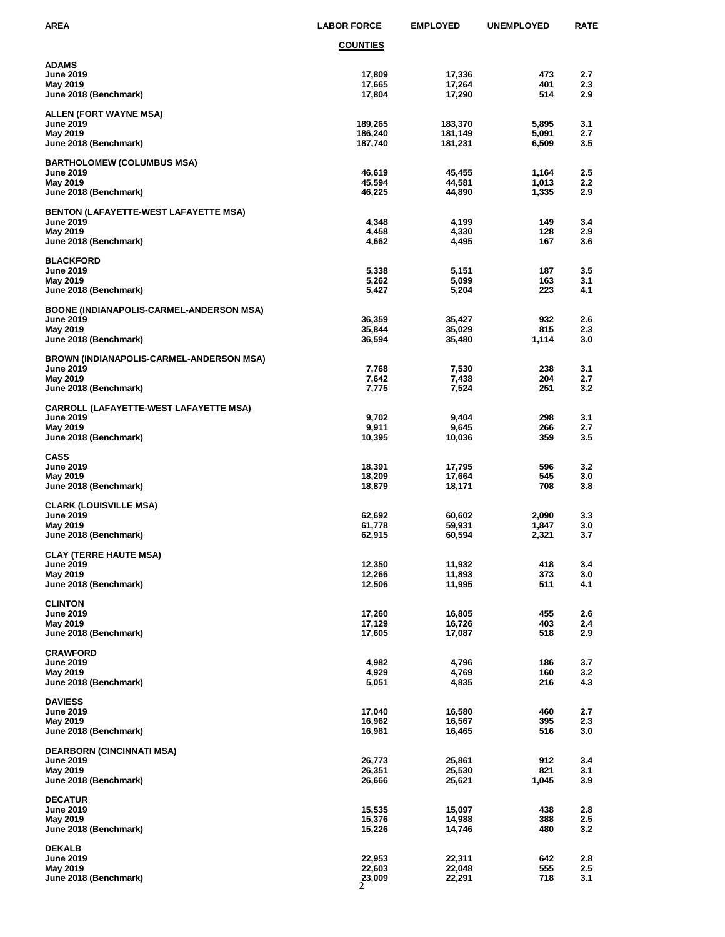| AREA                                                                                                     | <b>LABOR FORCE</b>              | <b>EMPLOYED</b>               | <b>UNEMPLOYED</b>       | <b>RATE</b>                    |
|----------------------------------------------------------------------------------------------------------|---------------------------------|-------------------------------|-------------------------|--------------------------------|
|                                                                                                          | <b>COUNTIES</b>                 |                               |                         |                                |
| ADAMS<br><b>June 2019</b><br>May 2019<br>June 2018 (Benchmark)                                           | 17,809<br>17,665<br>17,804      | 17,336<br>17,264<br>17,290    | 473<br>401<br>514       | 2.7<br>2.3<br>2.9              |
| ALLEN (FORT WAYNE MSA)<br><b>June 2019</b><br>May 2019<br>June 2018 (Benchmark)                          | 189,265<br>186,240<br>187,740   | 183,370<br>181,149<br>181,231 | 5,895<br>5,091<br>6,509 | 3.1<br>2.7<br>3.5              |
| <b>BARTHOLOMEW (COLUMBUS MSA)</b><br><b>June 2019</b><br>May 2019<br>June 2018 (Benchmark)               | 46,619<br>45,594<br>46,225      | 45,455<br>44,581<br>44,890    | 1,164<br>1,013<br>1,335 | 2.5<br>$2.2\phantom{0}$<br>2.9 |
| <b>BENTON (LAFAYETTE-WEST LAFAYETTE MSA)</b><br><b>June 2019</b><br>May 2019<br>June 2018 (Benchmark)    | 4,348<br>4,458<br>4,662         | 4,199<br>4,330<br>4,495       | 149<br>128<br>167       | 3.4<br>2.9<br>3.6              |
| <b>BLACKFORD</b><br><b>June 2019</b><br>May 2019<br>June 2018 (Benchmark)                                | 5,338<br>5,262<br>5,427         | 5,151<br>5,099<br>5,204       | 187<br>163<br>223       | 3.5<br>3.1<br>4.1              |
| <b>BOONE (INDIANAPOLIS-CARMEL-ANDERSON MSA)</b><br>June 2019<br>May 2019<br>June 2018 (Benchmark)        | 36,359<br>35,844<br>36,594      | 35,427<br>35,029<br>35,480    | 932<br>815<br>1,114     | 2.6<br>2.3<br>3.0              |
| <b>BROWN (INDIANAPOLIS-CARMEL-ANDERSON MSA)</b><br><b>June 2019</b><br>May 2019<br>June 2018 (Benchmark) | 7,768<br>7,642<br>7,775         | 7,530<br>7,438<br>7,524       | 238<br>204<br>251       | 3.1<br>2.7<br>3.2              |
| CARROLL (LAFAYETTE-WEST LAFAYETTE MSA)<br><b>June 2019</b><br>May 2019<br>June 2018 (Benchmark)          | 9,702<br>9,911<br>10,395        | 9,404<br>9,645<br>10,036      | 298<br>266<br>359       | 3.1<br>2.7<br>3.5              |
| CASS<br><b>June 2019</b><br>May 2019<br>June 2018 (Benchmark)                                            | 18,391<br>18,209<br>18,879      | 17,795<br>17,664<br>18,171    | 596<br>545<br>708       | 3.2<br>3.0<br>3.8              |
| <b>CLARK (LOUISVILLE MSA)</b><br><b>June 2019</b><br>May 2019<br>June 2018 (Benchmark)                   | 62,692<br>61,778<br>62,915      | 60,602<br>59,931<br>60,594    | 2,090<br>1,847<br>2,321 | 3.3<br>3.0<br>3.7              |
| <b>CLAY (TERRE HAUTE MSA)</b><br><b>June 2019</b><br>May 2019<br>June 2018 (Benchmark)                   | 12,350<br>12,266<br>12,506      | 11,932<br>11,893<br>11,995    | 418<br>373<br>511       | 3.4<br>3.0<br>4.1              |
| <b>CLINTON</b><br><b>June 2019</b><br>May 2019<br>June 2018 (Benchmark)                                  | 17,260<br>17,129<br>17,605      | 16,805<br>16,726<br>17,087    | 455<br>403<br>518       | 2.6<br>2.4<br>2.9              |
| <b>CRAWFORD</b><br><b>June 2019</b><br>May 2019<br>June 2018 (Benchmark)                                 | 4,982<br>4,929<br>5,051         | 4,796<br>4,769<br>4,835       | 186<br>160<br>216       | 3.7<br>3.2<br>4.3              |
| <b>DAVIESS</b><br><b>June 2019</b><br>May 2019<br>June 2018 (Benchmark)                                  | 17,040<br>16,962<br>16,981      | 16,580<br>16,567<br>16,465    | 460<br>395<br>516       | 2.7<br>2.3<br>3.0              |
| <b>DEARBORN (CINCINNATI MSA)</b><br><b>June 2019</b><br>May 2019<br>June 2018 (Benchmark)                | 26,773<br>26,351<br>26,666      | 25,861<br>25,530<br>25,621    | 912<br>821<br>1,045     | 3.4<br>3.1<br>3.9              |
| <b>DECATUR</b><br><b>June 2019</b><br>May 2019<br>June 2018 (Benchmark)                                  | 15,535<br>15,376<br>15,226      | 15,097<br>14,988<br>14,746    | 438<br>388<br>480       | 2.8<br>2.5<br>3.2              |
| <b>DEKALB</b><br><b>June 2019</b><br>May 2019<br>June 2018 (Benchmark)                                   | 22,953<br>22,603<br>23,009<br>2 | 22,311<br>22,048<br>22,291    | 642<br>555<br>718       | 2.8<br>2.5<br>3.1              |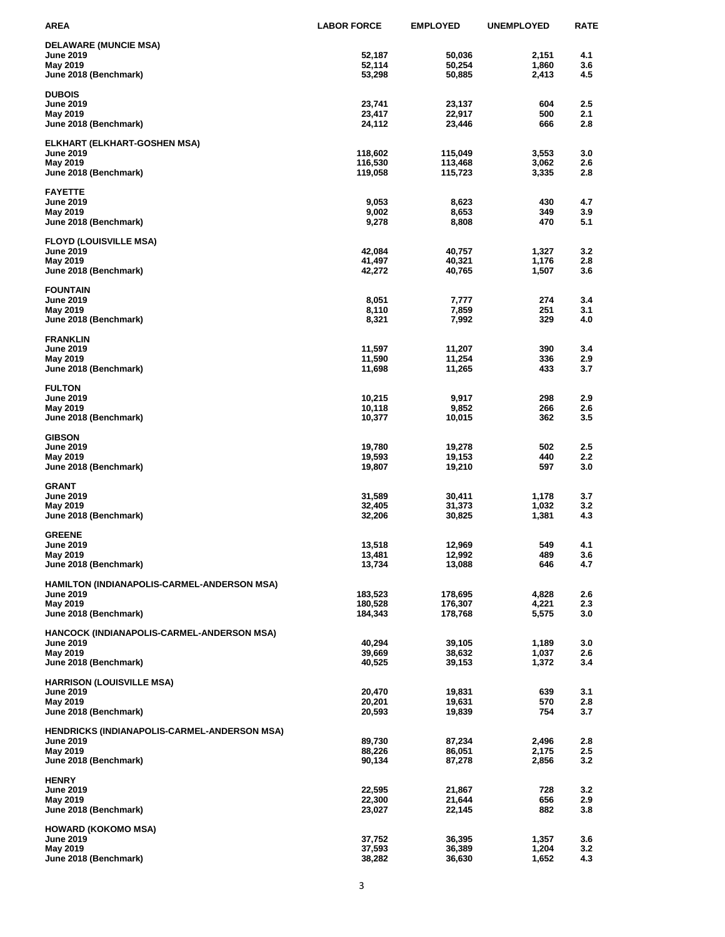| AREA                                                | <b>LABOR FORCE</b> | <b>EMPLOYED</b> | <b>UNEMPLOYED</b> | <b>RATE</b> |
|-----------------------------------------------------|--------------------|-----------------|-------------------|-------------|
| <b>DELAWARE (MUNCIE MSA)</b>                        |                    |                 |                   |             |
| <b>June 2019</b>                                    | 52,187             | 50,036          | 2,151             | 4.1         |
| May 2019                                            | 52,114             | 50,254          | 1,860             | 3.6         |
| June 2018 (Benchmark)                               | 53,298             | 50,885          | 2,413             | 4.5         |
| <b>DUBOIS</b>                                       |                    |                 |                   |             |
| <b>June 2019</b>                                    | 23,741             | 23,137          | 604               | 2.5         |
| May 2019                                            | 23,417             | 22,917          | 500               | 2.1         |
| June 2018 (Benchmark)                               | 24,112             | 23,446          | 666               | 2.8         |
| ELKHART (ELKHART-GOSHEN MSA)                        |                    |                 |                   |             |
| June 2019                                           | 118,602            | 115,049         | 3,553             | 3.0         |
| May 2019                                            | 116,530            | 113,468         | 3,062             | 2.6         |
| June 2018 (Benchmark)                               | 119,058            | 115,723         | 3,335             | 2.8         |
| <b>FAYETTE</b>                                      |                    |                 |                   |             |
| June 2019                                           | 9,053              | 8,623           | 430               | 4.7         |
| May 2019                                            | 9,002              | 8,653           | 349               | 3.9         |
| June 2018 (Benchmark)                               | 9,278              | 8,808           | 470               | 5.1         |
| <b>FLOYD (LOUISVILLE MSA)</b>                       |                    |                 |                   |             |
| <b>June 2019</b>                                    | 42,084             | 40,757          | 1,327             | 3.2         |
| May 2019                                            | 41,497             | 40,321          | 1,176             | 2.8         |
| June 2018 (Benchmark)                               | 42,272             | 40,765          | 1,507             | 3.6         |
| <b>FOUNTAIN</b>                                     |                    |                 |                   |             |
| <b>June 2019</b>                                    | 8,051              | 7,777           | 274               | 3.4         |
| May 2019                                            | 8,110              | 7,859           | 251               | 3.1         |
| June 2018 (Benchmark)                               | 8,321              | 7,992           | 329               | 4.0         |
|                                                     |                    |                 |                   |             |
| <b>FRANKLIN</b><br><b>June 2019</b>                 | 11,597             | 11,207          | 390               | 3.4         |
| May 2019                                            | 11,590             | 11,254          | 336               | 2.9         |
| June 2018 (Benchmark)                               | 11,698             | 11,265          | 433               | 3.7         |
|                                                     |                    |                 |                   |             |
| <b>FULTON</b><br><b>June 2019</b>                   | 10,215             | 9,917           | 298               | 2.9         |
| May 2019                                            | 10,118             | 9,852           | 266               | 2.6         |
| June 2018 (Benchmark)                               | 10,377             | 10,015          | 362               | 3.5         |
|                                                     |                    |                 |                   |             |
| <b>GIBSON</b><br><b>June 2019</b>                   | 19,780             | 19,278          | 502               | 2.5         |
| May 2019                                            | 19,593             | 19,153          | 440               | 2.2         |
| June 2018 (Benchmark)                               | 19,807             | 19,210          | 597               | 3.0         |
| <b>GRANT</b>                                        |                    |                 |                   |             |
| <b>June 2019</b>                                    | 31,589             | 30,411          | 1,178             | 3.7         |
| May 2019                                            | 32,405             | 31,373          | 1,032             | 3.2         |
| June 2018 (Benchmark)                               | 32,206             | 30,825          | 1,381             | 4.3         |
| <b>GREENE</b>                                       |                    |                 |                   |             |
| June 2019                                           | 13,518             | 12,969          | 549               | 4.1         |
| May 2019                                            | 13,481             | 12,992          | 489               | 3.6         |
| June 2018 (Benchmark)                               | 13,734             | 13,088          | 646               | 4.7         |
| HAMILTON (INDIANAPOLIS-CARMEL-ANDERSON MSA)         |                    |                 |                   |             |
| <b>June 2019</b>                                    | 183,523            | 178,695         | 4,828             | 2.6         |
| May 2019                                            | 180,528            | 176,307         | 4,221             | 2.3         |
| June 2018 (Benchmark)                               | 184,343            | 178,768         | 5,575             | 3.0         |
| HANCOCK (INDIANAPOLIS-CARMEL-ANDERSON MSA)          |                    |                 |                   |             |
| <b>June 2019</b>                                    | 40,294             | 39,105          | 1,189             | 3.0         |
| May 2019                                            | 39,669             | 38,632          | 1,037             | 2.6         |
| June 2018 (Benchmark)                               | 40,525             | 39,153          | 1,372             | 3.4         |
| <b>HARRISON (LOUISVILLE MSA)</b>                    |                    |                 |                   |             |
| <b>June 2019</b>                                    | 20,470             | 19,831          | 639               | 3.1         |
| May 2019                                            | 20,201             | 19,631          | 570               | 2.8         |
| June 2018 (Benchmark)                               | 20,593             | 19,839          | 754               | 3.7         |
| <b>HENDRICKS (INDIANAPOLIS-CARMEL-ANDERSON MSA)</b> |                    |                 |                   |             |
| <b>June 2019</b>                                    | 89,730             | 87,234          | 2,496             | 2.8         |
| May 2019                                            | 88,226             | 86,051          | 2,175             | 2.5         |
| June 2018 (Benchmark)                               | 90,134             | 87,278          | 2,856             | 3.2         |
| <b>HENRY</b>                                        |                    |                 |                   |             |
| <b>June 2019</b>                                    | 22,595             | 21,867          | 728               | 3.2         |
| May 2019                                            | 22,300             | 21,644          | 656               | 2.9         |
| June 2018 (Benchmark)                               | 23,027             | 22,145          | 882               | 3.8         |
| <b>HOWARD (KOKOMO MSA)</b>                          |                    |                 |                   |             |
| <b>June 2019</b>                                    | 37,752             | 36,395          | 1,357             | 3.6         |
| May 2019                                            | 37,593             | 36,389          | 1,204             | 3.2         |
| June 2018 (Benchmark)                               | 38,282             | 36,630          | 1,652             | 4.3         |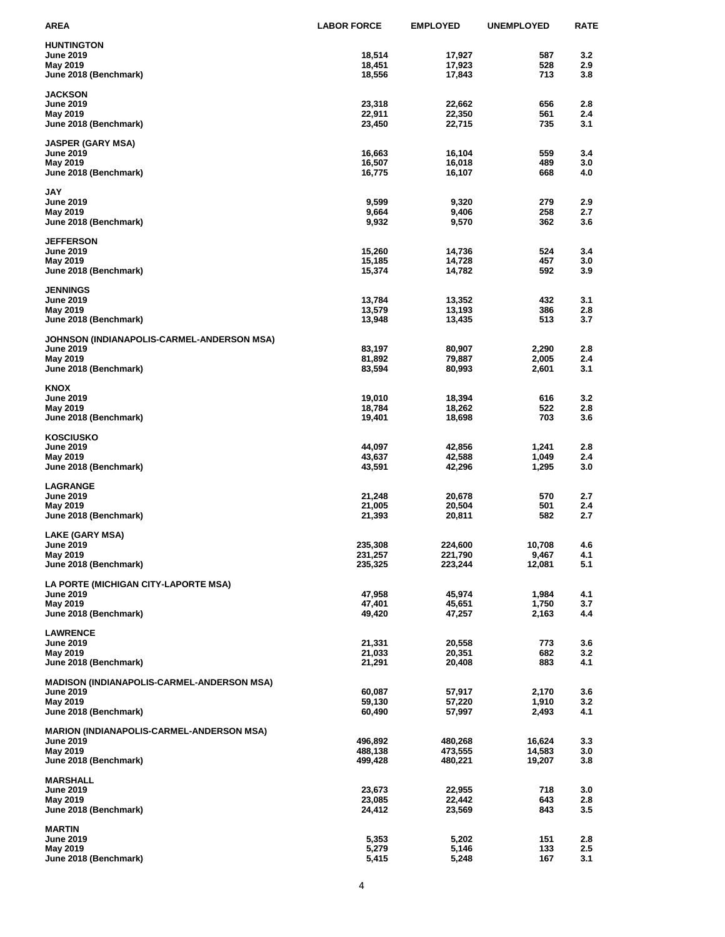| AREA                                              | <b>LABOR FORCE</b> | <b>EMPLOYED</b>  | <b>UNEMPLOYED</b> | <b>RATE</b> |
|---------------------------------------------------|--------------------|------------------|-------------------|-------------|
| <b>HUNTINGTON</b>                                 |                    |                  |                   |             |
| <b>June 2019</b>                                  | 18,514             | 17,927           | 587               | 3.2         |
| May 2019                                          | 18,451             | 17,923           | 528               | 2.9         |
| June 2018 (Benchmark)                             | 18,556             | 17,843           | 713               | 3.8         |
| <b>JACKSON</b>                                    |                    |                  |                   |             |
| June 2019                                         | 23,318             | 22,662           | 656               | 2.8         |
| May 2019                                          | 22,911             | 22,350           | 561               | 2.4         |
| June 2018 (Benchmark)                             | 23,450             | 22,715           | 735               | 3.1         |
| <b>JASPER (GARY MSA)</b>                          |                    |                  |                   |             |
| <b>June 2019</b>                                  | 16,663             | 16,104           | 559               | 3.4         |
| May 2019                                          | 16,507             | 16,018           | 489               | 3.0         |
| June 2018 (Benchmark)                             | 16,775             | 16,107           | 668               | 4.0         |
|                                                   |                    |                  |                   |             |
| JAY<br><b>June 2019</b>                           | 9,599              | 9,320            | 279               | 2.9         |
| May 2019                                          | 9,664              | 9,406            | 258               | 2.7         |
| June 2018 (Benchmark)                             | 9,932              | 9,570            | 362               | 3.6         |
|                                                   |                    |                  |                   |             |
| <b>JEFFERSON</b><br><b>June 2019</b>              | 15,260             | 14,736           | 524               | 3.4         |
| May 2019                                          | 15,185             | 14,728           | 457               | 3.0         |
| June 2018 (Benchmark)                             | 15,374             | 14,782           | 592               | 3.9         |
|                                                   |                    |                  |                   |             |
| <b>JENNINGS</b>                                   |                    |                  | 432               | 3.1         |
| <b>June 2019</b><br>May 2019                      | 13,784<br>13,579   | 13,352<br>13,193 | 386               | 2.8         |
| June 2018 (Benchmark)                             | 13,948             | 13,435           | 513               | 3.7         |
|                                                   |                    |                  |                   |             |
| JOHNSON (INDIANAPOLIS-CARMEL-ANDERSON MSA)        |                    |                  |                   |             |
| <b>June 2019</b><br>May 2019                      | 83,197<br>81,892   | 80,907<br>79,887 | 2,290<br>2,005    | 2.8<br>2.4  |
| June 2018 (Benchmark)                             | 83,594             | 80,993           | 2,601             | 3.1         |
|                                                   |                    |                  |                   |             |
| KNOX                                              |                    |                  |                   |             |
| June 2019                                         | 19,010             | 18,394           | 616<br>522        | 3.2<br>2.8  |
| May 2019<br>June 2018 (Benchmark)                 | 18,784<br>19,401   | 18,262<br>18,698 | 703               | 3.6         |
|                                                   |                    |                  |                   |             |
| <b>KOSCIUSKO</b>                                  |                    |                  |                   |             |
| June 2019                                         | 44,097             | 42,856           | 1,241             | 2.8         |
| May 2019<br>June 2018 (Benchmark)                 | 43,637<br>43,591   | 42,588<br>42,296 | 1,049<br>1,295    | 2.4<br>3.0  |
|                                                   |                    |                  |                   |             |
| <b>LAGRANGE</b>                                   |                    |                  |                   |             |
| <b>June 2019</b>                                  | 21,248             | 20,678           | 570               | 2.7         |
| May 2019<br>June 2018 (Benchmark)                 | 21,005<br>21,393   | 20,504<br>20,811 | 501<br>582        | 2.4<br>2.7  |
|                                                   |                    |                  |                   |             |
| LAKE (GARY MSA)                                   |                    |                  |                   |             |
| June 2019                                         | 235,308            | 224,600          | 10,708            | 4.6         |
| May 2019                                          | 231,257            | 221,790          | 9,467             | 4.1         |
| June 2018 (Benchmark)                             | 235,325            | 223,244          | 12,081            | 5.1         |
| LA PORTE (MICHIGAN CITY-LAPORTE MSA)              |                    |                  |                   |             |
| <b>June 2019</b>                                  | 47,958             | 45,974           | 1,984             | 4.1         |
| May 2019                                          | 47,401             | 45,651           | 1,750             | 3.7         |
| June 2018 (Benchmark)                             | 49,420             | 47,257           | 2,163             | 4.4         |
| <b>LAWRENCE</b>                                   |                    |                  |                   |             |
| <b>June 2019</b>                                  | 21,331             | 20,558           | 773               | 3.6         |
| May 2019                                          | 21,033             | 20,351           | 682               | 3.2         |
| June 2018 (Benchmark)                             | 21,291             | 20,408           | 883               | 4.1         |
| <b>MADISON (INDIANAPOLIS-CARMEL-ANDERSON MSA)</b> |                    |                  |                   |             |
| <b>June 2019</b>                                  | 60,087             | 57,917           | 2,170             | 3.6         |
| May 2019                                          | 59,130             | 57,220           | 1,910             | 3.2         |
| June 2018 (Benchmark)                             | 60,490             | 57,997           | 2,493             | 4.1         |
| <b>MARION (INDIANAPOLIS-CARMEL-ANDERSON MSA)</b>  |                    |                  |                   |             |
| <b>June 2019</b>                                  | 496,892            | 480,268          | 16,624            | 3.3         |
| May 2019                                          | 488,138            | 473,555          | 14,583            | 3.0         |
| June 2018 (Benchmark)                             | 499,428            | 480,221          | 19,207            | 3.8         |
|                                                   |                    |                  |                   |             |
| <b>MARSHALL</b><br><b>June 2019</b>               | 23,673             | 22,955           | 718               | 3.0         |
| May 2019                                          | 23,085             | 22,442           | 643               | 2.8         |
| June 2018 (Benchmark)                             | 24,412             | 23,569           | 843               | 3.5         |
|                                                   |                    |                  |                   |             |
| <b>MARTIN</b><br><b>June 2019</b>                 | 5,353              | 5,202            | 151               | 2.8         |
| May 2019                                          | 5,279              | 5,146            | 133               | 2.5         |
| June 2018 (Benchmark)                             | 5,415              | 5,248            | 167               | 3.1         |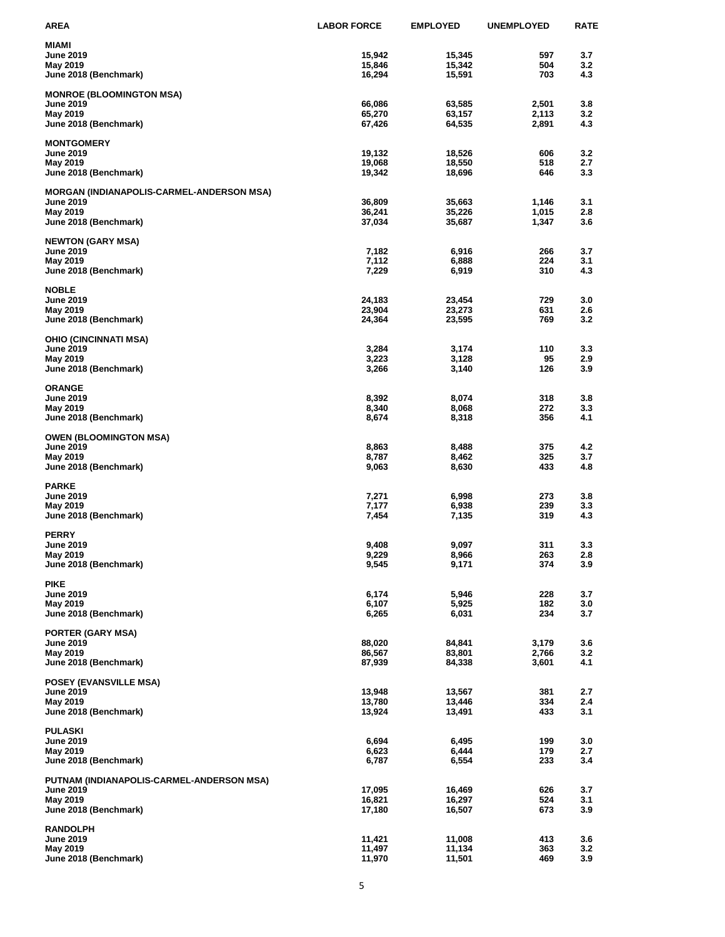| AREA                                                   | <b>LABOR FORCE</b> | <b>EMPLOYED</b>  | <b>UNEMPLOYED</b> | <b>RATE</b> |
|--------------------------------------------------------|--------------------|------------------|-------------------|-------------|
| MIAMI                                                  |                    |                  |                   |             |
| <b>June 2019</b>                                       | 15,942             | 15,345           | 597               | 3.7         |
| May 2019                                               | 15,846             | 15,342           | 504               | 3.2         |
| June 2018 (Benchmark)                                  | 16,294             | 15,591           | 703               | 4.3         |
| <b>MONROE (BLOOMINGTON MSA)</b>                        |                    |                  |                   |             |
| June 2019                                              | 66,086             | 63,585           | 2,501             | 3.8         |
| May 2019                                               | 65,270             | 63,157           | 2,113             | 3.2         |
| June 2018 (Benchmark)                                  | 67,426             | 64,535           | 2,891             | 4.3         |
| <b>MONTGOMERY</b>                                      |                    |                  |                   |             |
| June 2019                                              | 19,132             | 18,526           | 606               | 3.2         |
| May 2019                                               | 19,068             | 18,550           | 518<br>646        | 2.7<br>3.3  |
| June 2018 (Benchmark)                                  | 19,342             | 18,696           |                   |             |
| <b>MORGAN (INDIANAPOLIS-CARMEL-ANDERSON MSA)</b>       |                    |                  |                   |             |
| June 2019                                              | 36,809             | 35,663           | 1,146             | 3.1         |
| May 2019<br>June 2018 (Benchmark)                      | 36,241<br>37,034   | 35,226<br>35,687 | 1,015<br>1,347    | 2.8<br>3.6  |
|                                                        |                    |                  |                   |             |
| <b>NEWTON (GARY MSA)</b>                               |                    |                  |                   |             |
| June 2019<br>May 2019                                  | 7,182<br>7,112     | 6,916<br>6,888   | 266<br>224        | 3.7<br>3.1  |
| June 2018 (Benchmark)                                  | 7,229              | 6,919            | 310               | 4.3         |
|                                                        |                    |                  |                   |             |
| <b>NOBLE</b>                                           |                    |                  |                   |             |
| <b>June 2019</b><br>May 2019                           | 24,183<br>23,904   | 23,454<br>23,273 | 729<br>631        | 3.0<br>2.6  |
| June 2018 (Benchmark)                                  | 24,364             | 23,595           | 769               | 3.2         |
|                                                        |                    |                  |                   |             |
| OHIO (CINCINNATI MSA)                                  |                    |                  |                   |             |
| <b>June 2019</b><br>May 2019                           | 3,284<br>3,223     | 3,174<br>3,128   | 110<br>95         | 3.3<br>2.9  |
| June 2018 (Benchmark)                                  | 3,266              | 3,140            | 126               | 3.9         |
|                                                        |                    |                  |                   |             |
| <b>ORANGE</b><br><b>June 2019</b>                      | 8,392              | 8,074            | 318               | 3.8         |
| May 2019                                               | 8,340              | 8,068            | 272               | 3.3         |
| June 2018 (Benchmark)                                  | 8,674              | 8,318            | 356               | 4.1         |
|                                                        |                    |                  |                   |             |
| <b>OWEN (BLOOMINGTON MSA)</b><br>June 2019             | 8,863              | 8,488            | 375               | 4.2         |
| May 2019                                               | 8,787              | 8,462            | 325               | 3.7         |
| June 2018 (Benchmark)                                  | 9,063              | 8,630            | 433               | 4.8         |
| <b>PARKE</b>                                           |                    |                  |                   |             |
| June 2019                                              | 7,271              | 6,998            | 273               | 3.8         |
| May 2019                                               | 7,177              | 6,938            | 239               | 3.3         |
| June 2018 (Benchmark)                                  | 7,454              | 7,135            | 319               | 4.3         |
| <b>PERRY</b>                                           |                    |                  |                   |             |
| June 2019                                              | 9,408              | 9,097            | 311               | 3.3         |
| May 2019                                               | 9,229              | 8,966            | 263               | 2.8         |
| June 2018 (Benchmark)                                  | 9,545              | 9,171            | 374               | 3.9         |
| <b>PIKE</b>                                            |                    |                  |                   |             |
| <b>June 2019</b>                                       | 6,174              | 5,946            | 228               | 3.7         |
| May 2019                                               | 6,107              | 5,925            | 182               | 3.0         |
| June 2018 (Benchmark)                                  | 6,265              | 6,031            | 234               | 3.7         |
| <b>PORTER (GARY MSA)</b>                               |                    |                  |                   |             |
| <b>June 2019</b>                                       | 88,020             | 84,841           | 3,179             | 3.6         |
| May 2019<br>June 2018 (Benchmark)                      | 86,567<br>87,939   | 83,801<br>84,338 | 2,766<br>3,601    | 3.2<br>4.1  |
|                                                        |                    |                  |                   |             |
| <b>POSEY (EVANSVILLE MSA)</b>                          |                    |                  |                   |             |
| <b>June 2019</b><br>May 2019                           | 13,948<br>13,780   | 13,567<br>13,446 | 381<br>334        | 2.7<br>2.4  |
| June 2018 (Benchmark)                                  | 13,924             | 13,491           | 433               | 3.1         |
|                                                        |                    |                  |                   |             |
| <b>PULASKI</b>                                         |                    |                  |                   |             |
| <b>June 2019</b><br>May 2019                           | 6,694<br>6,623     | 6,495<br>6,444   | 199<br>179        | 3.0<br>2.7  |
| June 2018 (Benchmark)                                  | 6,787              | 6,554            | 233               | 3.4         |
|                                                        |                    |                  |                   |             |
| PUTNAM (INDIANAPOLIS-CARMEL-ANDERSON MSA)<br>June 2019 | 17,095             | 16,469           | 626               | 3.7         |
| May 2019                                               | 16,821             | 16,297           | 524               | 3.1         |
| June 2018 (Benchmark)                                  | 17,180             | 16,507           | 673               | 3.9         |
| <b>RANDOLPH</b>                                        |                    |                  |                   |             |
| <b>June 2019</b>                                       | 11,421             | 11,008           | 413               | 3.6         |
| May 2019                                               | 11,497             | 11,134           | 363               | 3.2         |
| June 2018 (Benchmark)                                  | 11,970             | 11,501           | 469               | 3.9         |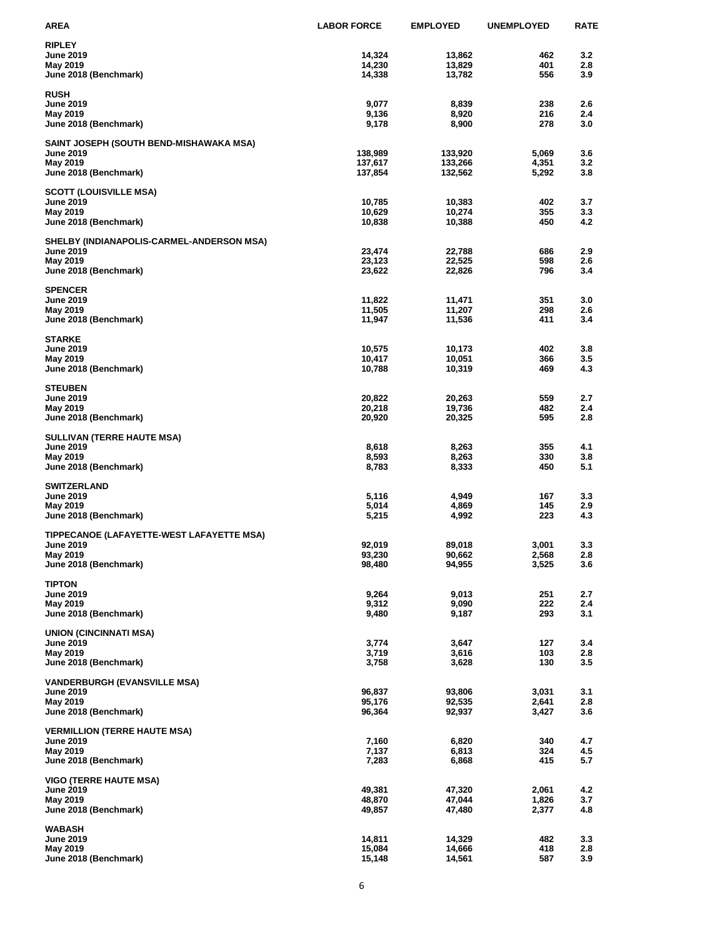| <b>AREA</b>                               | <b>LABOR FORCE</b> | <b>EMPLOYED</b> | <b>UNEMPLOYED</b> | <b>RATE</b> |
|-------------------------------------------|--------------------|-----------------|-------------------|-------------|
| <b>RIPLEY</b>                             |                    |                 |                   |             |
| <b>June 2019</b>                          | 14,324             | 13,862          | 462               | 3.2         |
| May 2019                                  | 14,230             | 13,829          | 401               | 2.8         |
| June 2018 (Benchmark)                     | 14,338             | 13,782          | 556               | 3.9         |
| <b>RUSH</b>                               |                    |                 |                   |             |
| June 2019                                 | 9,077              | 8,839           | 238               | 2.6         |
| May 2019                                  | 9,136              | 8,920           | 216               | 2.4         |
| June 2018 (Benchmark)                     | 9,178              | 8,900           | 278               | 3.0         |
| SAINT JOSEPH (SOUTH BEND-MISHAWAKA MSA)   |                    |                 |                   |             |
| June 2019                                 | 138,989            | 133,920         | 5,069             | 3.6         |
| May 2019                                  | 137,617            | 133,266         | 4,351             | 3.2         |
| June 2018 (Benchmark)                     | 137,854            | 132,562         | 5,292             | 3.8         |
| <b>SCOTT (LOUISVILLE MSA)</b>             |                    |                 |                   |             |
| June 2019                                 | 10,785             | 10,383          | 402               | 3.7         |
| May 2019                                  | 10,629             | 10,274          | 355               | 3.3         |
| June 2018 (Benchmark)                     | 10,838             | 10,388          | 450               | 4.2         |
| SHELBY (INDIANAPOLIS-CARMEL-ANDERSON MSA) |                    |                 |                   |             |
| <b>June 2019</b>                          | 23,474             | 22,788          | 686               | 2.9         |
| May 2019                                  | 23,123             | 22,525          | 598               | 2.6         |
| June 2018 (Benchmark)                     | 23,622             | 22,826          | 796               | 3.4         |
| <b>SPENCER</b>                            |                    |                 |                   |             |
| <b>June 2019</b>                          | 11,822             | 11,471          | 351               | 3.0         |
| May 2019                                  | 11,505             | 11,207          | 298               | 2.6         |
| June 2018 (Benchmark)                     | 11,947             | 11,536          | 411               | 3.4         |
| <b>STARKE</b>                             |                    |                 |                   |             |
| June 2019                                 | 10,575             | 10,173          | 402               | 3.8         |
| May 2019                                  | 10,417             | 10,051          | 366               | 3.5         |
| June 2018 (Benchmark)                     | 10,788             | 10,319          | 469               | 4.3         |
| <b>STEUBEN</b>                            |                    |                 |                   |             |
| <b>June 2019</b>                          | 20,822             | 20,263          | 559               | 2.7         |
| May 2019                                  | 20,218             | 19,736          | 482               | 2.4         |
| June 2018 (Benchmark)                     | 20,920             | 20,325          | 595               | 2.8         |
| <b>SULLIVAN (TERRE HAUTE MSA)</b>         |                    |                 |                   |             |
| <b>June 2019</b>                          | 8,618              | 8,263           | 355               | 4.1         |
| May 2019                                  | 8,593              | 8,263           | 330               | 3.8         |
| June 2018 (Benchmark)                     | 8,783              | 8,333           | 450               | 5.1         |
| <b>SWITZERLAND</b>                        |                    |                 |                   |             |
| <b>June 2019</b>                          | 5,116              | 4,949           | 167               | 3.3         |
| May 2019                                  | 5,014              | 4,869           | 145               | 2.9         |
| June 2018 (Benchmark)                     | 5,215              | 4,992           | 223               | 4.3         |
| TIPPECANOE (LAFAYETTE-WEST LAFAYETTE MSA) |                    |                 |                   |             |
| <b>June 2019</b>                          | 92,019             | 89,018          | 3,001             | 3.3         |
| May 2019                                  | 93,230             | 90,662          | 2,568             | 2.8         |
| June 2018 (Benchmark)                     | 98,480             | 94,955          | 3,525             | 3.6         |
| <b>TIPTON</b>                             |                    |                 |                   |             |
| <b>June 2019</b>                          | 9,264              | 9,013           | 251               | 2.7         |
| May 2019                                  | 9,312              | 9,090           | 222               | 2.4         |
| June 2018 (Benchmark)                     | 9,480              | 9,187           | 293               | 3.1         |
| <b>UNION (CINCINNATI MSA)</b>             |                    |                 |                   |             |
| June 2019                                 | 3,774              | 3,647           | 127               | 3.4         |
| May 2019                                  | 3,719              | 3,616           | 103               | 2.8         |
| June 2018 (Benchmark)                     | 3,758              | 3,628           | 130               | 3.5         |
| <b>VANDERBURGH (EVANSVILLE MSA)</b>       |                    |                 |                   |             |
| <b>June 2019</b>                          | 96,837             | 93,806          | 3,031             | 3.1         |
| May 2019                                  | 95,176             | 92,535          | 2,641             | 2.8         |
| June 2018 (Benchmark)                     | 96,364             | 92,937          | 3,427             | 3.6         |
| <b>VERMILLION (TERRE HAUTE MSA)</b>       |                    |                 |                   |             |
| <b>June 2019</b>                          | 7,160              | 6,820           | 340               | 4.7         |
| May 2019                                  | 7,137              | 6,813           | 324               | 4.5         |
| June 2018 (Benchmark)                     | 7,283              | 6,868           | 415               | 5.7         |
| <b>VIGO (TERRE HAUTE MSA)</b>             |                    |                 |                   |             |
| <b>June 2019</b>                          | 49,381             | 47,320          | 2,061             | 4.2         |
| May 2019                                  | 48,870             | 47,044          | 1,826             | 3.7         |
| June 2018 (Benchmark)                     | 49,857             | 47,480          | 2,377             | 4.8         |
| WABASH                                    |                    |                 |                   |             |
| <b>June 2019</b>                          | 14,811             | 14,329          | 482               | 3.3         |
| May 2019                                  | 15,084             | 14,666          | 418               | 2.8         |
| June 2018 (Benchmark)                     | 15,148             | 14,561          | 587               | 3.9         |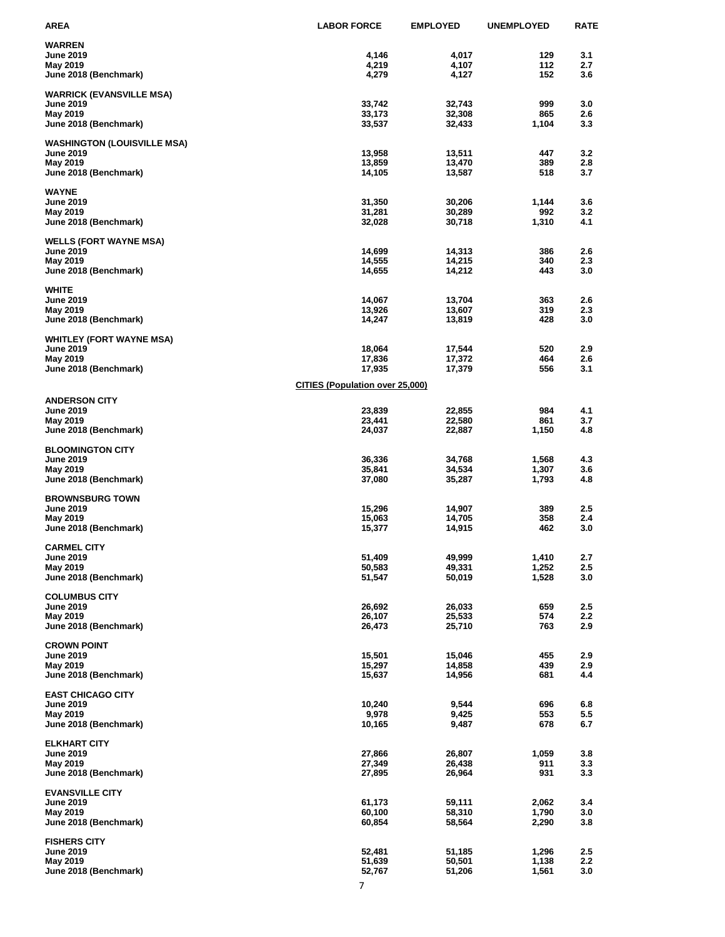| AREA                                                | <b>LABOR FORCE</b>                     | <b>EMPLOYED</b>  | <b>UNEMPLOYED</b> | <b>RATE</b> |
|-----------------------------------------------------|----------------------------------------|------------------|-------------------|-------------|
| <b>WARREN</b>                                       |                                        |                  |                   |             |
| <b>June 2019</b>                                    | 4,146                                  | 4,017            | 129               | 3.1         |
| May 2019                                            | 4,219                                  | 4,107            | 112<br>152        | 2.7<br>3.6  |
| June 2018 (Benchmark)                               | 4,279                                  | 4,127            |                   |             |
| <b>WARRICK (EVANSVILLE MSA)</b>                     |                                        |                  |                   |             |
| June 2019                                           | 33,742                                 | 32,743           | 999               | 3.0         |
| May 2019<br>June 2018 (Benchmark)                   | 33,173<br>33,537                       | 32,308<br>32,433 | 865<br>1,104      | 2.6<br>3.3  |
|                                                     |                                        |                  |                   |             |
| <b>WASHINGTON (LOUISVILLE MSA)</b>                  |                                        |                  |                   |             |
| June 2019<br>May 2019                               | 13,958<br>13,859                       | 13,511<br>13,470 | 447<br>389        | 3.2<br>2.8  |
| June 2018 (Benchmark)                               | 14,105                                 | 13,587           | 518               | 3.7         |
|                                                     |                                        |                  |                   |             |
| <b>WAYNE</b>                                        |                                        |                  |                   |             |
| June 2019<br>May 2019                               | 31,350<br>31,281                       | 30,206<br>30,289 | 1,144<br>992      | 3.6<br>3.2  |
| June 2018 (Benchmark)                               | 32,028                                 | 30,718           | 1,310             | 4.1         |
|                                                     |                                        |                  |                   |             |
| <b>WELLS (FORT WAYNE MSA)</b><br><b>June 2019</b>   | 14,699                                 | 14,313           | 386               | 2.6         |
| May 2019                                            | 14,555                                 | 14,215           | 340               | 2.3         |
| June 2018 (Benchmark)                               | 14,655                                 | 14,212           | 443               | 3.0         |
|                                                     |                                        |                  |                   |             |
| <b>WHITE</b><br>June 2019                           | 14,067                                 | 13,704           | 363               | 2.6         |
| May 2019                                            | 13,926                                 | 13,607           | 319               | 2.3         |
| June 2018 (Benchmark)                               | 14,247                                 | 13,819           | 428               | 3.0         |
|                                                     |                                        |                  |                   |             |
| <b>WHITLEY (FORT WAYNE MSA)</b><br><b>June 2019</b> | 18,064                                 | 17,544           | 520               | 2.9         |
| May 2019                                            | 17,836                                 | 17,372           | 464               | 2.6         |
| June 2018 (Benchmark)                               | 17,935                                 | 17,379           | 556               | 3.1         |
|                                                     | <b>CITIES (Population over 25,000)</b> |                  |                   |             |
| <b>ANDERSON CITY</b>                                |                                        |                  |                   |             |
| <b>June 2019</b>                                    | 23,839                                 | 22,855           | 984               | 4.1         |
| May 2019                                            | 23,441                                 | 22,580           | 861               | 3.7         |
| June 2018 (Benchmark)                               | 24,037                                 | 22,887           | 1,150             | 4.8         |
| <b>BLOOMINGTON CITY</b>                             |                                        |                  |                   |             |
| <b>June 2019</b>                                    | 36,336                                 | 34,768           | 1,568             | 4.3         |
| May 2019                                            | 35,841                                 | 34,534           | 1,307             | 3.6         |
| June 2018 (Benchmark)                               | 37,080                                 | 35,287           | 1,793             | 4.8         |
| <b>BROWNSBURG TOWN</b>                              |                                        |                  |                   |             |
| <b>June 2019</b>                                    | 15,296                                 | 14,907           | 389               | 2.5         |
| May 2019                                            | 15,063                                 | 14,705           | 358               | 2.4         |
| June 2018 (Benchmark)                               | 15,377                                 | 14,915           | 462               | 3.0         |
| <b>CARMEL CITY</b>                                  |                                        |                  |                   |             |
| <b>June 2019</b>                                    | 51,409                                 | 49,999           | 1,410             | 2.7         |
| May 2019                                            | 50,583                                 | 49,331           | 1,252             | 2.5         |
| June 2018 (Benchmark)                               | 51,547                                 | 50,019           | 1,528             | 3.0         |
| <b>COLUMBUS CITY</b>                                |                                        |                  |                   |             |
| <b>June 2019</b>                                    | 26,692                                 | 26,033           | 659               | 2.5         |
| May 2019                                            | 26,107                                 | 25,533           | 574               | 2.2         |
| June 2018 (Benchmark)                               | 26,473                                 | 25,710           | 763               | 2.9         |
| <b>CROWN POINT</b>                                  |                                        |                  |                   |             |
| <b>June 2019</b>                                    | 15,501                                 | 15,046           | 455               | 2.9         |
| May 2019                                            | 15,297                                 | 14,858           | 439<br>681        | 2.9<br>4.4  |
| June 2018 (Benchmark)                               | 15,637                                 | 14,956           |                   |             |
| <b>EAST CHICAGO CITY</b>                            |                                        |                  |                   |             |
| <b>June 2019</b>                                    | 10,240                                 | 9,544            | 696               | 6.8         |
| May 2019<br>June 2018 (Benchmark)                   | 9,978<br>10,165                        | 9,425<br>9,487   | 553<br>678        | 5.5<br>6.7  |
|                                                     |                                        |                  |                   |             |
| <b>ELKHART CITY</b>                                 |                                        |                  |                   |             |
| <b>June 2019</b>                                    | 27,866                                 | 26,807           | 1,059             | 3.8         |
| May 2019<br>June 2018 (Benchmark)                   | 27,349<br>27,895                       | 26,438<br>26,964 | 911<br>931        | 3.3<br>3.3  |
|                                                     |                                        |                  |                   |             |
| <b>EVANSVILLE CITY</b>                              |                                        |                  |                   |             |
| <b>June 2019</b>                                    | 61,173                                 | 59,111           | 2,062             | 3.4         |
| May 2019<br>June 2018 (Benchmark)                   | 60,100<br>60,854                       | 58,310<br>58,564 | 1,790<br>2,290    | 3.0<br>3.8  |
|                                                     |                                        |                  |                   |             |
| <b>FISHERS CITY</b>                                 |                                        |                  |                   |             |
| <b>June 2019</b>                                    | 52,481                                 | 51,185           | 1,296             | 2.5         |
| May 2019<br>June 2018 (Benchmark)                   | 51,639<br>52,767                       | 50,501<br>51,206 | 1,138<br>1,561    | 2.2<br>3.0  |
|                                                     |                                        |                  |                   |             |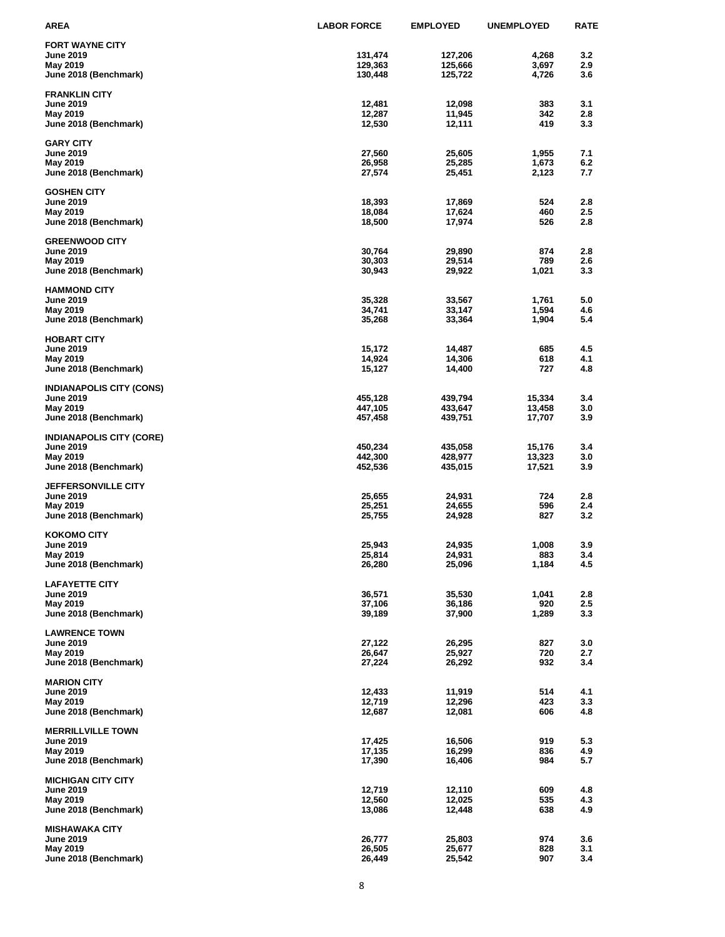| AREA                                      | <b>LABOR FORCE</b> | <b>EMPLOYED</b>    | <b>UNEMPLOYED</b> | <b>RATE</b> |
|-------------------------------------------|--------------------|--------------------|-------------------|-------------|
| <b>FORT WAYNE CITY</b>                    |                    |                    |                   |             |
| <b>June 2019</b>                          | 131,474            | 127,206            | 4,268             | 3.2         |
| May 2019                                  | 129,363            | 125,666            | 3,697             | 2.9         |
| June 2018 (Benchmark)                     | 130,448            | 125,722            | 4,726             | 3.6         |
| <b>FRANKLIN CITY</b>                      |                    |                    |                   |             |
| <b>June 2019</b>                          | 12,481             | 12,098             | 383               | 3.1         |
| May 2019                                  | 12,287             | 11,945             | 342               | 2.8         |
| June 2018 (Benchmark)                     | 12,530             | 12,111             | 419               | 3.3         |
| <b>GARY CITY</b>                          |                    |                    |                   |             |
| <b>June 2019</b>                          | 27,560             | 25,605             | 1,955             | 7.1         |
| May 2019                                  | 26,958             | 25,285             | 1,673             | 6.2         |
| June 2018 (Benchmark)                     | 27,574             | 25,451             | 2,123             | 7.7         |
|                                           |                    |                    |                   |             |
| <b>GOSHEN CITY</b><br><b>June 2019</b>    | 18,393             | 17,869             | 524               | 2.8         |
| May 2019                                  | 18,084             | 17,624             | 460               | 2.5         |
| June 2018 (Benchmark)                     | 18,500             | 17,974             | 526               | 2.8         |
|                                           |                    |                    |                   |             |
| <b>GREENWOOD CITY</b><br><b>June 2019</b> | 30,764             | 29,890             | 874               | 2.8         |
| May 2019                                  | 30,303             | 29,514             | 789               | 2.6         |
| June 2018 (Benchmark)                     | 30,943             | 29,922             | 1,021             | 3.3         |
|                                           |                    |                    |                   |             |
| <b>HAMMOND CITY</b><br><b>June 2019</b>   | 35,328             | 33,567             | 1,761             | 5.0         |
| May 2019                                  | 34,741             | 33,147             | 1,594             | 4.6         |
| June 2018 (Benchmark)                     | 35,268             | 33,364             | 1,904             | 5.4         |
|                                           |                    |                    |                   |             |
| <b>HOBART CITY</b><br><b>June 2019</b>    | 15,172             | 14,487             | 685               | 4.5         |
| May 2019                                  | 14,924             | 14,306             | 618               | 4.1         |
| June 2018 (Benchmark)                     | 15,127             | 14,400             | 727               | 4.8         |
|                                           |                    |                    |                   |             |
| <b>INDIANAPOLIS CITY (CONS)</b>           |                    |                    |                   |             |
| <b>June 2019</b><br>May 2019              | 455,128<br>447,105 | 439,794<br>433,647 | 15,334<br>13,458  | 3.4<br>3.0  |
| June 2018 (Benchmark)                     | 457,458            | 439,751            | 17,707            | 3.9         |
|                                           |                    |                    |                   |             |
| <b>INDIANAPOLIS CITY (CORE)</b>           |                    |                    |                   |             |
| <b>June 2019</b><br>May 2019              | 450,234<br>442,300 | 435,058<br>428,977 | 15,176<br>13,323  | 3.4<br>3.0  |
| June 2018 (Benchmark)                     | 452,536            | 435,015            | 17,521            | 3.9         |
|                                           |                    |                    |                   |             |
| <b>JEFFERSONVILLE CITY</b>                |                    |                    |                   |             |
| June 2019<br>May 2019                     | 25,655<br>25,251   | 24,931<br>24,655   | 724<br>596        | 2.8<br>2.4  |
| June 2018 (Benchmark)                     | 25,755             | 24,928             | 827               | 3.2         |
|                                           |                    |                    |                   |             |
| <b>KOKOMO CITY</b>                        |                    |                    |                   |             |
| June 2019                                 | 25,943             | 24,935             | 1,008             | 3.9         |
| <b>May 2019</b><br>June 2018 (Benchmark)  | 25,814<br>26,280   | 24,931<br>25,096   | 883<br>1,184      | 3.4<br>4.5  |
|                                           |                    |                    |                   |             |
| <b>LAFAYETTE CITY</b>                     |                    |                    |                   |             |
| <b>June 2019</b>                          | 36,571             | 35,530             | 1,041             | 2.8         |
| May 2019<br>June 2018 (Benchmark)         | 37,106<br>39,189   | 36,186<br>37,900   | 920<br>1,289      | 2.5<br>3.3  |
|                                           |                    |                    |                   |             |
| <b>LAWRENCE TOWN</b>                      |                    |                    |                   |             |
| <b>June 2019</b>                          | 27,122             | 26,295             | 827               | 3.0         |
| May 2019<br>June 2018 (Benchmark)         | 26,647<br>27,224   | 25,927<br>26,292   | 720<br>932        | 2.7<br>3.4  |
|                                           |                    |                    |                   |             |
| <b>MARION CITY</b>                        |                    |                    |                   |             |
| <b>June 2019</b>                          | 12,433             | 11,919             | 514               | 4.1         |
| May 2019<br>June 2018 (Benchmark)         | 12,719<br>12,687   | 12,296<br>12,081   | 423<br>606        | 3.3<br>4.8  |
|                                           |                    |                    |                   |             |
| <b>MERRILLVILLE TOWN</b>                  |                    |                    |                   |             |
| <b>June 2019</b>                          | 17,425             | 16,506             | 919               | 5.3         |
| May 2019<br>June 2018 (Benchmark)         | 17,135<br>17,390   | 16,299<br>16,406   | 836<br>984        | 4.9<br>5.7  |
|                                           |                    |                    |                   |             |
| <b>MICHIGAN CITY CITY</b>                 |                    |                    |                   |             |
| <b>June 2019</b>                          | 12,719             | 12,110             | 609               | 4.8         |
| May 2019<br>June 2018 (Benchmark)         | 12,560<br>13,086   | 12,025<br>12,448   | 535<br>638        | 4.3<br>4.9  |
|                                           |                    |                    |                   |             |
| <b>MISHAWAKA CITY</b>                     |                    |                    |                   |             |
| <b>June 2019</b>                          | 26,777             | 25,803             | 974               | 3.6         |
| May 2019                                  | 26,505             | 25,677             | 828<br>907        | 3.1         |
| June 2018 (Benchmark)                     | 26,449             | 25,542             |                   | 3.4         |